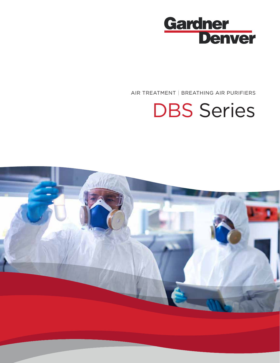

AIR TREATMENT | BREATHING AIR PURIFIERS

# DBS Series

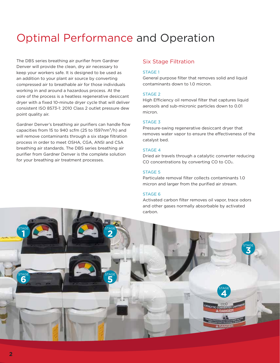# Optimal Performance and Operation

The DBS series breathing air purifier from Gardner Denver will provide the clean, dry air necessary to keep your workers safe. It is designed to be used as an addition to your plant air source by converting compressed air to breathable air for those individuals working in and around a hazardous process. At the core of the process is a heatless regenerative desiccant dryer with a fixed 10-minute dryer cycle that will deliver consistent ISO 8573-1: 2010 Class 2 outlet pressure dew point quality air.

Gardner Denver's breathing air purifiers can handle flow capacities from 15 to 940 scfm (25 to 1597nm $\frac{3}{h}$ ) and will remove contaminants through a six stage filtration process in order to meet OSHA, CGA, ANSI and CSA breathing air standards. The DBS series breathing air purifier from Gardner Denver is the complete solution for your breathing air treatment processes.

#### Six Stage Filtration

#### STAGE 1

General purpose filter that removes solid and liquid contaminants down to 1.0 micron.

#### STAGE 2

High Efficiency oil removal filter that captures liquid aerosols and sub-micronic particles down to 0.01 micron.

#### STAGE 3

Pressure-swing regenerative desiccant dryer that removes water vapor to ensure the effectiveness of the catalyst bed.

#### STAGE 4

Dried air travels through a catalytic converter reducing CO concentrations by converting CO to CO2.

#### STAGE 5

Particulate removal filter collects contaminants 1.0 micron and larger from the purified air stream.

#### STAGE 6

Activated carbon filter removes oil vapor, trace odors and other gases normally absorbable by activated carbon.

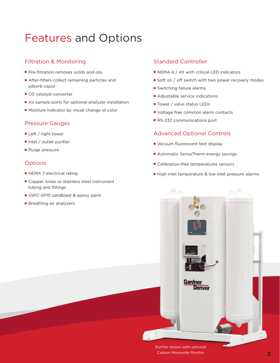# Features and Options

### Filtration & Monitoring

- Pre-filtration removes solids and oils
- After-filters collect remaining particles and adsorb vapor
- CO catalyst converter
- Air sample ports for optional analyzer installation
- Moisture Indicator by visual change of color

#### Pressure Gauges

- Left / right tower
- Inlet / outlet purifier
- Purge pressure

### **Options**

- NEMA 7 electrical rating
- Copper, brass or stainless steel instrument tubing and fittings
- SSPC-SP10 sandblast & epoxy paint
- Breathing air analyzers

### Standard Controller

- NEMA 4 / 4X with critical LED indicators
- Soft on / off switch with two power recovery modes
- Switching failure alarms
- Adjustable service indications
- Tower / valve status LEDs
- Voltage free common alarm contacts
- RS-232 communications port

#### Advanced Optional Controls

- Vacuum fluorescent text display
- Automatic SensaTherm energy savings
- Calibration-free temperatures sensors
- High inlet temperature & low inlet pressure alarms



Purifier shown with optional Carbon Monoxide Monitor **3**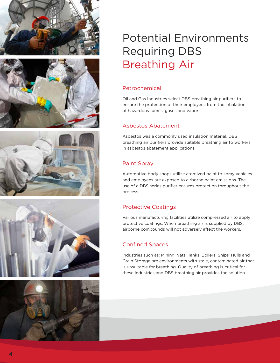









# Potential Environments Requiring DBS Breathing Air

## Petrochemical

Oil and Gas Industries select DBS breathing air purifiers to ensure the protection of their employees from the inhalation of hazardous fumes, gases and vapors.

### Asbestos Abatement

Asbestos was a commonly used insulation material. DBS breathing air purifiers provide suitable breathing air to workers in asbestos abatement applications.

# Paint Spray

Automotive body shops utilize atomized paint to spray vehicles and employees are exposed to airborne paint emissions. The use of a DBS series purifier ensures protection throughout the process.

# Protective Coatings

Various manufacturing facilities utilize compressed air to apply protective coatings. When breathing air is supplied by DBS, airborne compounds will not adversely affect the workers.

# Confined Spaces

Industries such as: Mining, Vats, Tanks, Boilers, Ships' Hulls and Grain Storage are environments with stale, contaminated air that is unsuitable for breathing. Quality of breathing is critical for these industries and DBS breathing air provides the solution.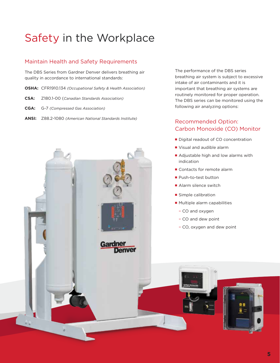# Safety in the Workplace

### Maintain Health and Safety Requirements

The DBS Series from Gardner Denver delivers breathing air quality in accordance to international standards:

- **OSHA:** CFR1910.134 *(Occupational Safety & Health Association)*
- **CSA:** Z180.1-00 (*Canadian Standards Association)*
- **CGA:** G-7 *(Compressed Gas Association)*
- **ANSI:** Z88.2-1080 *(American National Standards Institute)*



The performance of the DBS series breathing air system is subject to excessive intake of air contaminants and it is important that breathing air systems are routinely monitored for proper operation. The DBS series can be monitored using the following air analyzing options:

### Recommended Option: Carbon Monoxide (CO) Monitor

- Digital readout of CO concentration
- Visual and audible alarm
- Adjustable high and low alarms with indication
- Contacts for remote alarm
- Push-to-test button
- Alarm silence switch
- Simple calibration
- Multiple alarm capabilities
	- CO and oxygen
	- CO and dew point
	- CO, oxygen and dew point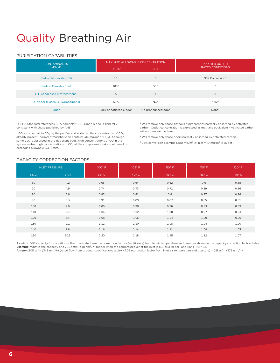# Quality Breathing Air

#### PURIFICATION CAPABILITIES

| <b>CONTAMINANTS</b>               | MAXIMUM ALLOWABLE CONCENTRATION |                    | <b>PURIFIER OUTLET</b>      |  |  |  |
|-----------------------------------|---------------------------------|--------------------|-----------------------------|--|--|--|
| $MG/M^3$                          | OSHA <sup>1</sup>               | <b>CSA</b>         | <b>RATED CONDITIONS</b>     |  |  |  |
| Carbon Monoxide (CO)              | 10                              | 5                  | 95% Conversion <sup>5</sup> |  |  |  |
| Carbon Dioxide (CO <sub>2</sub> ) | 1000                            | 500                | $\overline{2}$              |  |  |  |
| Oil (Condensed Hydrocarbons)      | 5                               | $\mathbf{1}$       | $\mathbf 0$                 |  |  |  |
| Oil Vapor (Gaseous Hydrocarbons)  | N/A                             | N/A                | $< 0.02^{3}$                |  |  |  |
| Odor                              | Lack of noticeable odor         | No pronounced odor | None <sup>4</sup>           |  |  |  |

<sup>1</sup> OSHA Standard references CGA pamphlet G-7.1, Grade D and is generally consistent with those published by ANSI

 $2$  CO is converted to CO<sub>2</sub> by the purifier and added to the concentration of CO<sub>2</sub> already present (normal atmospheric air contains 314 mg/m<sup>3</sup> of CO<sub>2</sub>). Although some CO<sub>2</sub> is absorbed in the desiccant beds, high concentrations of CO in the system and/or high concentrations of CO<sub>2</sub> at the compressor intake could result in exceeding allowable CO<sub>2</sub> limits.

<sup>3</sup> Will remove only those gaseous hydrocarbons normally adsorbed by activated carbon. Outlet concentration is expressed as methane equivalent - Activated carbon will not remove methane.

⁴ Will remove only those odors normally adsorbed by activated carbon.

 $5$  95% conversion example (200 mg/m $3$  @ inlet = 10 mg/m $3$  @ outlet).

#### CAPACITY CORRECTION FACTORS

| <b>INLET PRESSURE</b> |            | $100^{\circ}$ F | $105^\circ$ F  | $110^{\circ}$ F | $115^\circ$ F  | 120° F         |  |
|-----------------------|------------|-----------------|----------------|-----------------|----------------|----------------|--|
| <b>PSIG</b>           | <b>BAR</b> | $38^{\circ}$ C  | $40^{\circ}$ C | 43° C           | $46^{\circ}$ C | $49^{\circ}$ C |  |
| 60                    | 4.2        | 0.65            | 0.64           | 0.62            | 0.6            | 0.58           |  |
| 70                    | 4.9        | 0.74            | 0.73           | 0.71            | 0.69           | 0.66           |  |
| 80                    | 5.6        | 0.83            | 0.81           | 0.8             | 0.77           | 0.74           |  |
| 90                    | 6.3        | 0.91            | 0.89           | 0.87            | 0.85           | 0.81           |  |
| 100                   | 7.0        | 1.00            | 0.98           | 0.96            | 0.93           | 0.89           |  |
| 110                   | 7.7        | 1.04            | 1.02           | 1.00            | 0.97           | 0.93           |  |
| 120                   | 8.4        | 1.08            | 1.06           | 1.04            | 1.00           | 0.96           |  |
| 130                   | 9.1        | 1.12            | 1.10           | 1.08            | 1.04           | 1.00           |  |
| 140                   | 9.8        | 1.16            | 1.14           | 1.11            | 1.08           | 1.03           |  |
| 150                   | 10.5       | 1.20            | 1.18           | 1.15            | 1.12           | 1.07           |  |

To adjust DBS capacity for conditions other than rated, use the correction factors (multipliers) for inlet air temperature and pressure shown in the capacity correction factors table. **Example:** What is the capacity of a 205 scfm (348 nm<sup>3</sup>/h) model when the compressed air at the inlet is 130 psig (9 bar) and 110° F (43° C)? **Answer:** 205 scfm (348 nm³/h) (rated flow from product specifications table) x 1.08 (correction factor from inlet air temperature and pressure) = 221 scfm (375 nm³/h).

**6**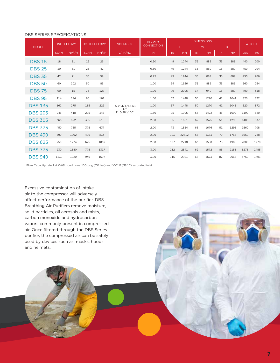#### DBS SERIES SPECIFICATIONS

| <b>MODEL</b>   | <b>INLET FLOW</b> |          | <b>OUTLET FLOW</b> |          | <b>VOLTAGES</b>                      | IN / OUT<br><b>CONNECTION</b> |     |                 | <b>DIMENSIONS</b> |                |    |                | <b>WEIGHT</b> |           |
|----------------|-------------------|----------|--------------------|----------|--------------------------------------|-------------------------------|-----|-----------------|-------------------|----------------|----|----------------|---------------|-----------|
|                | <b>SCFM</b>       | $NM^3/H$ | <b>SCFM</b>        | $NM^3/H$ | V/PH/HZ                              | <b>IN</b>                     | IN  | H.<br><b>MM</b> | IN                | W<br><b>MM</b> | IN | D<br><b>MM</b> | <b>LBS</b>    | <b>KG</b> |
| <b>DBS 15</b>  | 18                | 31       | 15                 | 26       |                                      | 0.50                          | 49  | 1244            | 35                | 889            | 35 | 889            | 440           | 200       |
| <b>DBS 25</b>  | 30                | 51       | 25                 | 42       |                                      | 0.50                          | 49  | 1244            | 35                | 889            | 35 | 889            | 450           | 204       |
| <b>DBS 35</b>  | 42                | 71       | 35                 | 59       | 85-264/1/47-63<br>AC<br>11.5-28 V DC | 0.75                          | 49  | 1244            | 35                | 889            | 35 | 889            | 455           | 206       |
| <b>DBS 50</b>  | 60                | 102      | 50                 | 85       |                                      | 1.00                          | 64  | 1626            | 35                | 889            | 35 | 889            | 560           | 254       |
| <b>DBS 75</b>  | 90                | 15       | 75                 | 127      |                                      | 1.00                          | 79  | 2006            | 37                | 940            | 35 | 889            | 700           | 318       |
| <b>DBS 95</b>  | 114               | 194      | 95                 | 161      |                                      | 1.00                          | 57  | 1448            | 50                | 1270           | 41 | 1041           | 820           | 372       |
| <b>DBS 135</b> | 162               | 275      | 135                | 229      |                                      | 1.00                          | 57  | 1448            | 50                | 1270           | 41 | 1041           | 820           | 372       |
| <b>DBS 205</b> | 246               | 418      | 205                | 348      |                                      | 1.50                          | 75  | 1905            | 56                | 1422           | 43 | 1092           | 1190          | 540       |
| <b>DBS 305</b> | 366               | 622      | 305                | 518      |                                      | 2.00                          | 65  | 1651            | 62                | 1575           | 51 | 1295           | 1405          | 637       |
| <b>DBS 375</b> | 450               | 765      | 375                | 637      |                                      | 2.00                          | 73  | 1854            | 66                | 1676           | 51 | 1295           | 1560          | 708       |
| <b>DBS 490</b> | 590               | 1002     | 490                | 833      |                                      | 2.00                          | 103 | 22612           | 55                | 1383           | 70 | 1765           | 1650          | 748       |
| <b>DBS 625</b> | 750               | 1274     | 625                | 1062     |                                      | 2.00                          | 107 | 2718            | 63                | 1580           | 75 | 1905           | 2800          | 1270      |
| <b>DBS 775</b> | 930               | 1580     | 775                | 1317     |                                      | 3.00                          | 112 | 2841            | 62                | 1572           | 85 | 2153           | 3275          | 1485      |
| <b>DBS 940</b> | 1130              | 1920     | 940                | 1597     |                                      | 3.00                          | 115 | 2921            | 66                | 1673           | 82 | 2065           | 3750          | 1701      |

<sup>1</sup> Flow Capacity rated at CAGI conditions: 100 psig (7.0 bar) and 100° F (38° C) saturated inlet

Excessive contamination of intake air to the compressor will adversely affect performance of the purifier. DBS Breathing Air Purifiers remove moisture, solid particles, oil aerosols and mists, carbon monoxide and hydrocarbon vapors commonly present in compressed air. Once filtered through the DBS Series purifier, the compressed air can be safely used by devices such as: masks, hoods and helmets.